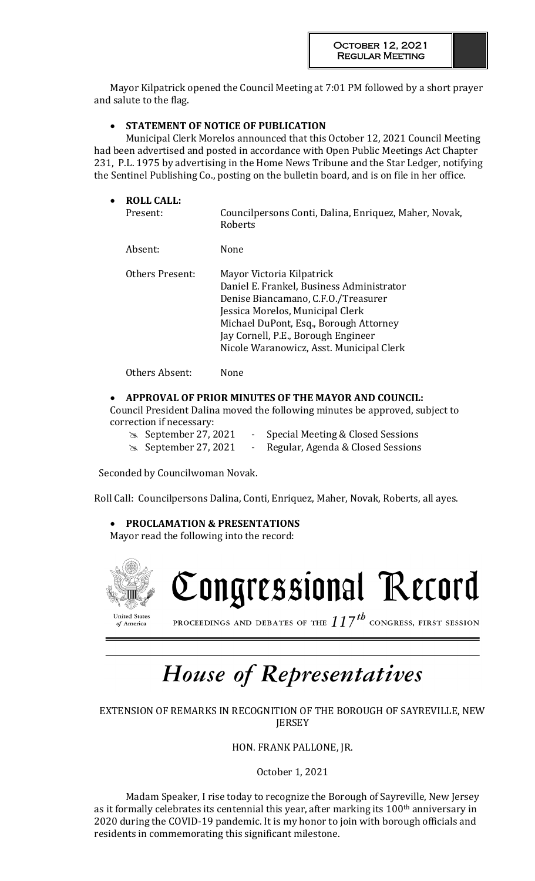Mayor Kilpatrick opened the Council Meeting at 7:01 PM followed by a short prayer and salute to the flag.

# **STATEMENT OF NOTICE OF PUBLICATION**

Municipal Clerk Morelos announced that this October 12, 2021 Council Meeting had been advertised and posted in accordance with Open Public Meetings Act Chapter 231, P.L. 1975 by advertising in the Home News Tribune and the Star Ledger, notifying the Sentinel Publishing Co., posting on the bulletin board, and is on file in her office.

| $\bullet$ | <b>ROLL CALL:</b><br>Present: | Councilpersons Conti, Dalina, Enriquez, Maher, Novak,<br>Roberts                                                                                                                                                                                                               |
|-----------|-------------------------------|--------------------------------------------------------------------------------------------------------------------------------------------------------------------------------------------------------------------------------------------------------------------------------|
|           | Absent:                       | None                                                                                                                                                                                                                                                                           |
|           | Others Present:               | Mayor Victoria Kilpatrick<br>Daniel E. Frankel, Business Administrator<br>Denise Biancamano, C.F.O./Treasurer<br>Jessica Morelos, Municipal Clerk<br>Michael DuPont, Esq., Borough Attorney<br>Jay Cornell, P.E., Borough Engineer<br>Nicole Waranowicz, Asst. Municipal Clerk |
|           | Others Absent:                | None                                                                                                                                                                                                                                                                           |

# **APPROVAL OF PRIOR MINUTES OF THE MAYOR AND COUNCIL:**

Council President Dalina moved the following minutes be approved, subject to correction if necessary:

 September 27, 2021 - Special Meeting & Closed Sessions September 27, 2021 - Regular, Agenda & Closed Sessions

Seconded by Councilwoman Novak.

Roll Call: Councilpersons Dalina, Conti, Enriquez, Maher, Novak, Roberts, all ayes.

**PROCLAMATION & PRESENTATIONS** 

Mayor read the following into the record:



# House of Representatives

EXTENSION OF REMARKS IN RECOGNITION OF THE BOROUGH OF SAYREVILLE, NEW **JERSEY** 

HON. FRANK PALLONE, JR.

October 1, 2021

Madam Speaker, I rise today to recognize the Borough of Sayreville, New Jersey as it formally celebrates its centennial this year, after marking its 100<sup>th</sup> anniversary in 2020 during the COVID-19 pandemic. It is my honor to join with borough officials and residents in commemorating this significant milestone.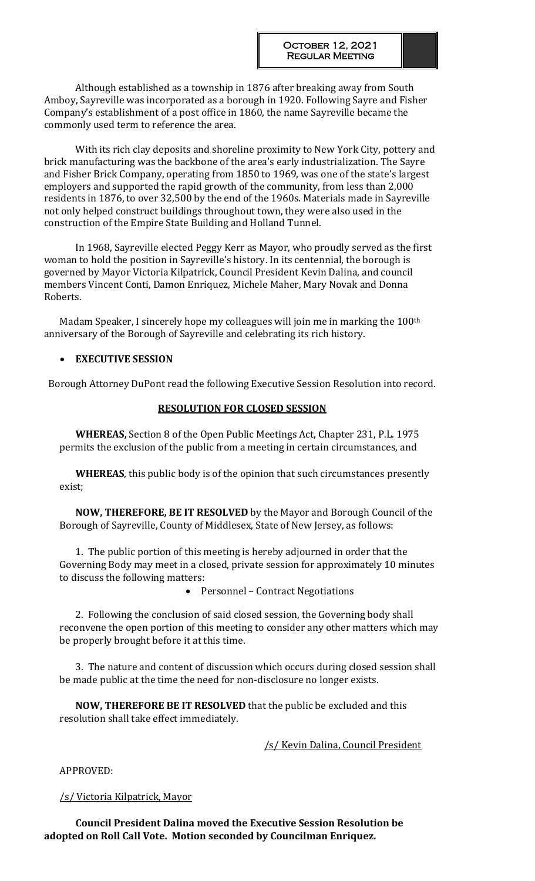Although established as a township in 1876 after breaking away from South Amboy, Sayreville was incorporated as a borough in 1920. Following Sayre and Fisher Company's establishment of a post office in 1860, the name Sayreville became the commonly used term to reference the area.

With its rich clay deposits and shoreline proximity to New York City, pottery and brick manufacturing was the backbone of the area's early industrialization. The Sayre and Fisher Brick Company, operating from 1850 to 1969, was one of the state's largest employers and supported the rapid growth of the community, from less than 2,000 residents in 1876, to over 32,500 by the end of the 1960s. Materials made in Sayreville not only helped construct buildings throughout town, they were also used in the construction of the Empire State Building and Holland Tunnel.

In 1968, Sayreville elected Peggy Kerr as Mayor, who proudly served as the first woman to hold the position in Sayreville's history. In its centennial, the borough is governed by Mayor Victoria Kilpatrick, Council President Kevin Dalina, and council members Vincent Conti, Damon Enriquez, Michele Maher, Mary Novak and Donna Roberts.

Madam Speaker, I sincerely hope my colleagues will join me in marking the 100<sup>th</sup> anniversary of the Borough of Sayreville and celebrating its rich history.

# **EXECUTIVE SESSION**

Borough Attorney DuPont read the following Executive Session Resolution into record.

#### **RESOLUTION FOR CLOSED SESSION**

**WHEREAS,** Section 8 of the Open Public Meetings Act, Chapter 231, P.L. 1975 permits the exclusion of the public from a meeting in certain circumstances, and

**WHEREAS**, this public body is of the opinion that such circumstances presently exist;

**NOW, THEREFORE, BE IT RESOLVED** by the Mayor and Borough Council of the Borough of Sayreville, County of Middlesex, State of New Jersey, as follows:

1. The public portion of this meeting is hereby adjourned in order that the Governing Body may meet in a closed, private session for approximately 10 minutes to discuss the following matters:

• Personnel – Contract Negotiations

2. Following the conclusion of said closed session, the Governing body shall reconvene the open portion of this meeting to consider any other matters which may be properly brought before it at this time.

3. The nature and content of discussion which occurs during closed session shall be made public at the time the need for non-disclosure no longer exists.

**NOW, THEREFORE BE IT RESOLVED** that the public be excluded and this resolution shall take effect immediately.

/s/ Kevin Dalina, Council President

APPROVED:

### /s/ Victoria Kilpatrick, Mayor

**Council President Dalina moved the Executive Session Resolution be adopted on Roll Call Vote. Motion seconded by Councilman Enriquez.**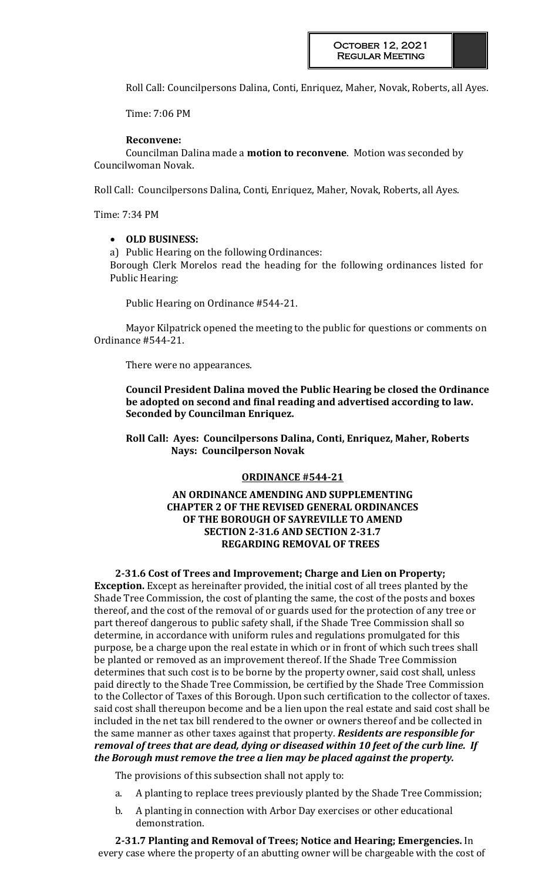Roll Call: Councilpersons Dalina, Conti, Enriquez, Maher, Novak, Roberts, all Ayes.

Time: 7:06 PM

# **Reconvene:**

Councilman Dalina made a **motion to reconvene**. Motion was seconded by Councilwoman Novak.

Roll Call: Councilpersons Dalina, Conti, Enriquez, Maher, Novak, Roberts, all Ayes.

Time: 7:34 PM

### **OLD BUSINESS:**

a) Public Hearing on the following Ordinances:

Borough Clerk Morelos read the heading for the following ordinances listed for Public Hearing:

Public Hearing on Ordinance #544-21.

Mayor Kilpatrick opened the meeting to the public for questions or comments on Ordinance #544-21.

There were no appearances.

**Council President Dalina moved the Public Hearing be closed the Ordinance be adopted on second and final reading and advertised according to law. Seconded by Councilman Enriquez.** 

**Roll Call: Ayes: Councilpersons Dalina, Conti, Enriquez, Maher, Roberts Nays: Councilperson Novak**

### **ORDINANCE #544-21**

# **AN ORDINANCE AMENDING AND SUPPLEMENTING CHAPTER 2 OF THE REVISED GENERAL ORDINANCES OF THE BOROUGH OF SAYREVILLE TO AMEND SECTION 2-31.6 AND SECTION 2-31.7 REGARDING REMOVAL OF TREES**

**2-31.6 Cost of Trees and Improvement; Charge and Lien on Property; Exception.** Except as hereinafter provided, the initial cost of all trees planted by the Shade Tree Commission, the cost of planting the same, the cost of the posts and boxes thereof, and the cost of the removal of or guards used for the protection of any tree or part thereof dangerous to public safety shall, if the Shade Tree Commission shall so determine, in accordance with uniform rules and regulations promulgated for this purpose, be a charge upon the real estate in which or in front of which such trees shall be planted or removed as an improvement thereof. If the Shade Tree Commission determines that such cost is to be borne by the property owner, said cost shall, unless paid directly to the Shade Tree Commission, be certified by the Shade Tree Commission to the Collector of Taxes of this Borough. Upon such certification to the collector of taxes. said cost shall thereupon become and be a lien upon the real estate and said cost shall be

included in the net tax bill rendered to the owner or owners thereof and be collected in the same manner as other taxes against that property. *Residents are responsible for removal of trees that are dead, dying or diseased within 10 feet of the curb line. If the Borough must remove the tree a lien may be placed against the property.*

The provisions of this subsection shall not apply to:

- a. A planting to replace trees previously planted by the Shade Tree Commission;
- b. A planting in connection with Arbor Day exercises or other educational demonstration.

**2-31.7 Planting and Removal of Trees; Notice and Hearing; Emergencies.** In every case where the property of an abutting owner will be chargeable with the cost of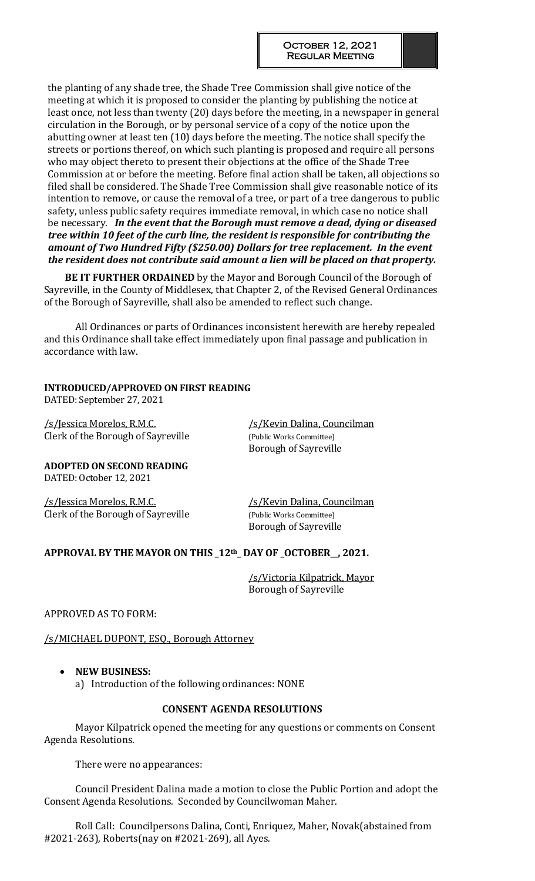the planting of any shade tree, the Shade Tree Commission shall give notice of the meeting at which it is proposed to consider the planting by publishing the notice at least once, not less than twenty (20) days before the meeting, in a newspaper in general circulation in the Borough, or by personal service of a copy of the notice upon the abutting owner at least ten (10) days before the meeting. The notice shall specify the streets or portions thereof, on which such planting is proposed and require all persons who may object thereto to present their objections at the office of the Shade Tree Commission at or before the meeting. Before final action shall be taken, all objections so filed shall be considered. The Shade Tree Commission shall give reasonable notice of its intention to remove, or cause the removal of a tree, or part of a tree dangerous to public safety, unless public safety requires immediate removal, in which case no notice shall be necessary. *In the event that the Borough must remove a dead, dying or diseased tree within 10 feet of the curb line, the resident is responsible for contributing the amount of Two Hundred Fifty (\$250.00) Dollars for tree replacement. In the event the resident does not contribute said amount a lien will be placed on that property.* 

**BE IT FURTHER ORDAINED** by the Mayor and Borough Council of the Borough of Sayreville, in the County of Middlesex, that Chapter 2, of the Revised General Ordinances of the Borough of Sayreville, shall also be amended to reflect such change.

All Ordinances or parts of Ordinances inconsistent herewith are hereby repealed and this Ordinance shall take effect immediately upon final passage and publication in accordance with law.

# **INTRODUCED/APPROVED ON FIRST READING**

DATED: September 27, 2021

/s/Jessica Morelos, R.M.C. /s/Kevin Dalina, Councilman Clerk of the Borough of Sayreville (Public Works Committee)

Borough of Sayreville

**ADOPTED ON SECOND READING** DATED: October 12, 2021

/s/Jessica Morelos, R.M.C. /s/Kevin Dalina, Councilman Clerk of the Borough of Sayreville (Public Works Committee)

Borough of Sayreville

# **APPROVAL BY THE MAYOR ON THIS \_12th\_ DAY OF \_OCTOBER\_\_, 2021.**

/s/Victoria Kilpatrick, Mayor Borough of Sayreville

APPROVED AS TO FORM:

/s/MICHAEL DUPONT, ESQ., Borough Attorney

# **NEW BUSINESS:**

a) Introduction of the following ordinances: NONE

# **CONSENT AGENDA RESOLUTIONS**

Mayor Kilpatrick opened the meeting for any questions or comments on Consent Agenda Resolutions.

There were no appearances:

Council President Dalina made a motion to close the Public Portion and adopt the Consent Agenda Resolutions. Seconded by Councilwoman Maher.

Roll Call: Councilpersons Dalina, Conti, Enriquez, Maher, Novak(abstained from #2021-263), Roberts(nay on #2021-269), all Ayes.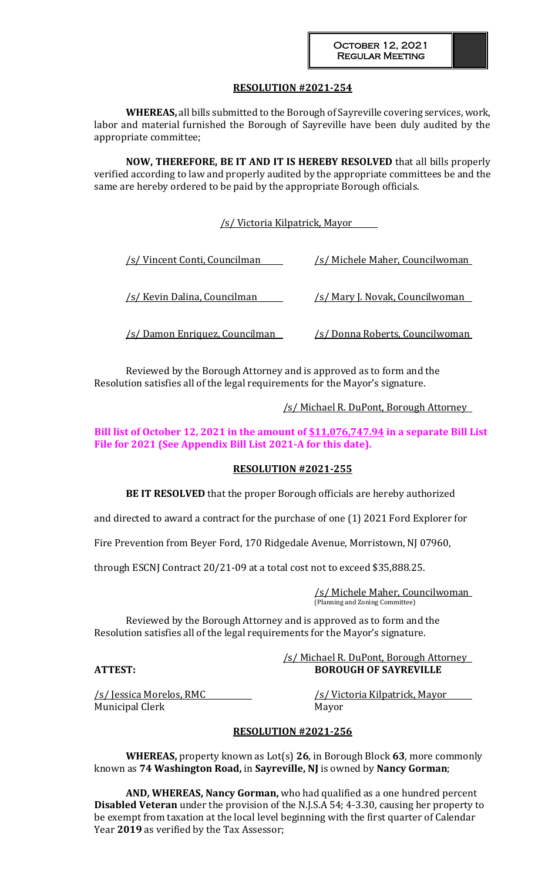**WHEREAS,** all bills submitted to the Borough of Sayreville covering services, work, labor and material furnished the Borough of Sayreville have been duly audited by the appropriate committee;

**NOW, THEREFORE, BE IT AND IT IS HEREBY RESOLVED** that all bills properly verified according to law and properly audited by the appropriate committees be and the same are hereby ordered to be paid by the appropriate Borough officials.

/s/ Victoria Kilpatrick, Mayor

| /s/ Vincent Conti, Councilman          | /s/ Michele Maher, Councilwoman         |
|----------------------------------------|-----------------------------------------|
| /s/ Kevin Dalina, Councilman           | <u>/s/ Mary J. Novak, Councilwoman</u>  |
| <u>/s/ Damon Enriquez, Councilman_</u> | <u>/s/ Donna Roberts, Councilwoman </u> |

Reviewed by the Borough Attorney and is approved as to form and the Resolution satisfies all of the legal requirements for the Mayor's signature.

/s/ Michael R. DuPont, Borough Attorney

# **Bill list of October 12, 2021 in the amount of \$11,076,747.94 in a separate Bill List File for 2021 (See Appendix Bill List 2021-A for this date).**

### **RESOLUTION #2021-255**

**BE IT RESOLVED** that the proper Borough officials are hereby authorized

and directed to award a contract for the purchase of one (1) 2021 Ford Explorer for

Fire Prevention from Beyer Ford, 170 Ridgedale Avenue, Morristown, NJ 07960,

through ESCNJ Contract 20/21-09 at a total cost not to exceed \$35,888.25.

/s/ Michele Maher, Councilwoman (Planning and Zoning Committee)

Reviewed by the Borough Attorney and is approved as to form and the Resolution satisfies all of the legal requirements for the Mayor's signature.

#### /s/ Michael R. DuPont, Borough Attorney **ATTEST: BOROUGH OF SAYREVILLE**

/s/ Jessica Morelos, RMC /s/ Victoria Kilpatrick, Mayor Municipal Clerk Mayor

### **RESOLUTION #2021-256**

**WHEREAS,** property known as Lot(s) **26**, in Borough Block **63**, more commonly known as **74 Washington Road,** in **Sayreville, NJ** is owned by **Nancy Gorman**;

**AND, WHEREAS, Nancy Gorman,** who had qualified as a one hundred percent **Disabled Veteran** under the provision of the N.J.S.A 54; 4-3.30, causing her property to be exempt from taxation at the local level beginning with the first quarter of Calendar Year **2019** as verified by the Tax Assessor;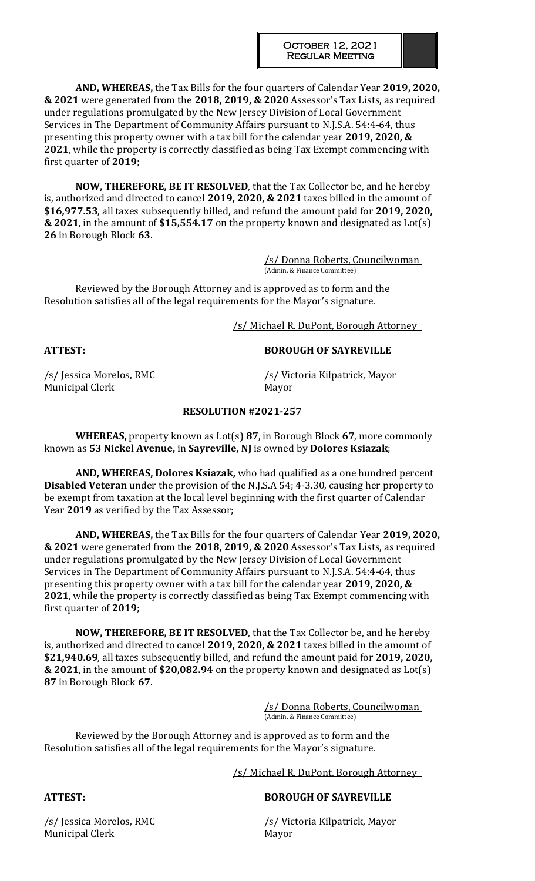**AND, WHEREAS,** the Tax Bills for the four quarters of Calendar Year **2019, 2020, & 2021** were generated from the **2018, 2019, & 2020** Assessor's Tax Lists, as required under regulations promulgated by the New Jersey Division of Local Government Services in The Department of Community Affairs pursuant to N.J.S.A. 54:4-64, thus presenting this property owner with a tax bill for the calendar year **2019, 2020, & 2021**, while the property is correctly classified as being Tax Exempt commencing with first quarter of **2019**;

**NOW, THEREFORE, BE IT RESOLVED**, that the Tax Collector be, and he hereby is, authorized and directed to cancel **2019, 2020, & 2021** taxes billed in the amount of **\$16,977.53**, all taxes subsequently billed, and refund the amount paid for **2019, 2020, & 2021**, in the amount of **\$15,554.17** on the property known and designated as Lot(s) **26** in Borough Block **63**.

> /s/ Donna Roberts, Councilwoman (Admin. & Finance Committee)

Reviewed by the Borough Attorney and is approved as to form and the Resolution satisfies all of the legal requirements for the Mayor's signature.

/s/ Michael R. DuPont, Borough Attorney

### **ATTEST: BOROUGH OF SAYREVILLE**

Municipal Clerk Mayor

/s/ Jessica Morelos, RMC /s/ Victoria Kilpatrick, Mayor

# **RESOLUTION #2021-257**

**WHEREAS,** property known as Lot(s) **87**, in Borough Block **67**, more commonly known as **53 Nickel Avenue,** in **Sayreville, NJ** is owned by **Dolores Ksiazak**;

**AND, WHEREAS, Dolores Ksiazak,** who had qualified as a one hundred percent **Disabled Veteran** under the provision of the N.J.S.A 54; 4-3.30, causing her property to be exempt from taxation at the local level beginning with the first quarter of Calendar Year **2019** as verified by the Tax Assessor;

**AND, WHEREAS,** the Tax Bills for the four quarters of Calendar Year **2019, 2020, & 2021** were generated from the **2018, 2019, & 2020** Assessor's Tax Lists, as required under regulations promulgated by the New Jersey Division of Local Government Services in The Department of Community Affairs pursuant to N.J.S.A. 54:4-64, thus presenting this property owner with a tax bill for the calendar year **2019, 2020, & 2021**, while the property is correctly classified as being Tax Exempt commencing with first quarter of **2019**;

**NOW, THEREFORE, BE IT RESOLVED**, that the Tax Collector be, and he hereby is, authorized and directed to cancel **2019, 2020, & 2021** taxes billed in the amount of **\$21,940.69**, all taxes subsequently billed, and refund the amount paid for **2019, 2020, & 2021**, in the amount of **\$20,082.94** on the property known and designated as Lot(s) **87** in Borough Block **67**.

> /s/ Donna Roberts, Councilwoman (Admin. & Finance Committee)

Reviewed by the Borough Attorney and is approved as to form and the Resolution satisfies all of the legal requirements for the Mayor's signature.

/s/ Michael R. DuPont, Borough Attorney

# **ATTEST: BOROUGH OF SAYREVILLE**

Municipal Clerk Mayor

/s/ Jessica Morelos, RMC /s/ Victoria Kilpatrick, Mayor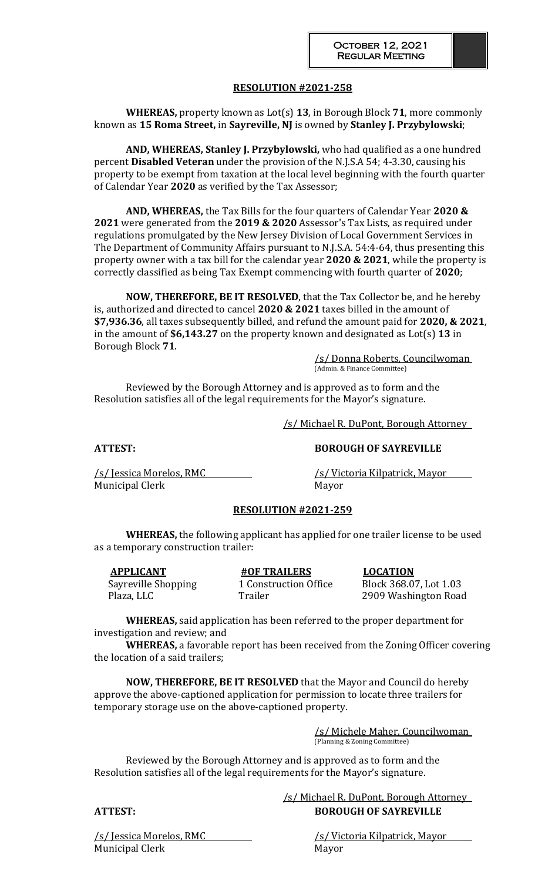**WHEREAS,** property known as Lot(s) **13**, in Borough Block **71**, more commonly known as **15 Roma Street,** in **Sayreville, NJ** is owned by **Stanley J. Przybylowski**;

**AND, WHEREAS, Stanley J. Przybylowski,** who had qualified as a one hundred percent **Disabled Veteran** under the provision of the N.J.S.A 54; 4-3.30, causing his property to be exempt from taxation at the local level beginning with the fourth quarter of Calendar Year **2020** as verified by the Tax Assessor;

**AND, WHEREAS,** the Tax Bills for the four quarters of Calendar Year **2020 & 2021** were generated from the **2019 & 2020** Assessor's Tax Lists, as required under regulations promulgated by the New Jersey Division of Local Government Services in The Department of Community Affairs pursuant to N.J.S.A. 54:4-64, thus presenting this property owner with a tax bill for the calendar year **2020 & 2021**, while the property is correctly classified as being Tax Exempt commencing with fourth quarter of **2020**;

**NOW, THEREFORE, BE IT RESOLVED**, that the Tax Collector be, and he hereby is, authorized and directed to cancel **2020 & 2021** taxes billed in the amount of **\$7,936.36**, all taxes subsequently billed, and refund the amount paid for **2020, & 2021**, in the amount of **\$6,143.27** on the property known and designated as Lot(s) **13** in Borough Block **71**.

/s/ Donna Roberts, Councilwoman (Admin. & Finance Committee)

Reviewed by the Borough Attorney and is approved as to form and the Resolution satisfies all of the legal requirements for the Mayor's signature.

/s/ Michael R. DuPont, Borough Attorney

**ATTEST: BOROUGH OF SAYREVILLE**

Municipal Clerk Mayor

/s/ Jessica Morelos, RMC /s/ Victoria Kilpatrick, Mayor

### **RESOLUTION #2021-259**

**WHEREAS,** the following applicant has applied for one trailer license to be used as a temporary construction trailer:

**APPLICANT #OF TRAILERS LOCATION** Sayreville Shopping 1 Construction Office Block 368.07, Lot 1.03 Plaza, LLC Trailer 75 Trailer 2909 Washington Road

**WHEREAS,** said application has been referred to the proper department for investigation and review; and

**WHEREAS,** a favorable report has been received from the Zoning Officer covering the location of a said trailers;

**NOW, THEREFORE, BE IT RESOLVED** that the Mayor and Council do hereby approve the above-captioned application for permission to locate three trailers for temporary storage use on the above-captioned property.

> /s/ Michele Maher, Councilwoman (Planning & Zoning Committee)

Reviewed by the Borough Attorney and is approved as to form and the Resolution satisfies all of the legal requirements for the Mayor's signature.

 /s/ Michael R. DuPont, Borough Attorney **ATTEST: BOROUGH OF SAYREVILLE**

/s/ Jessica Morelos, RMC /s/ /s/ Victoria Kilpatrick, Mayor Municipal Clerk Mayor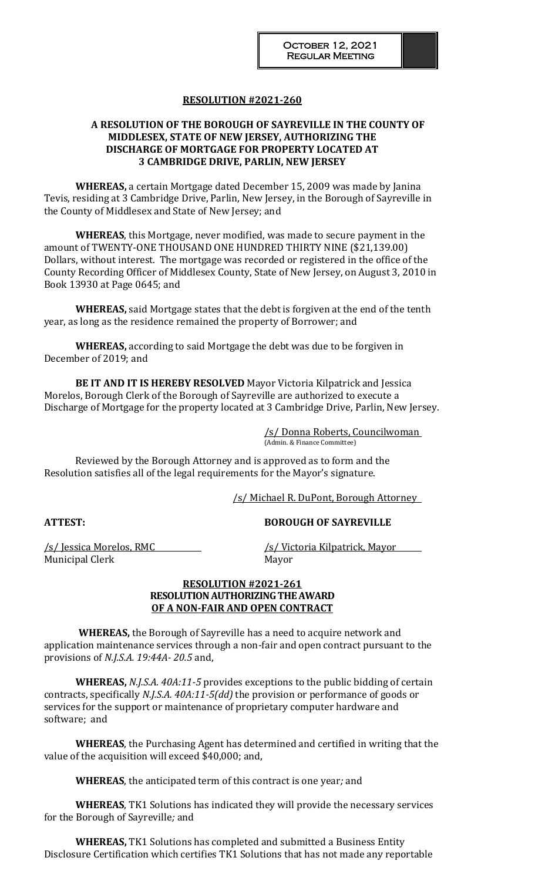# **A RESOLUTION OF THE BOROUGH OF SAYREVILLE IN THE COUNTY OF MIDDLESEX, STATE OF NEW JERSEY, AUTHORIZING THE DISCHARGE OF MORTGAGE FOR PROPERTY LOCATED AT 3 CAMBRIDGE DRIVE, PARLIN, NEW JERSEY**

**WHEREAS,** a certain Mortgage dated December 15, 2009 was made by Janina Tevis, residing at 3 Cambridge Drive, Parlin, New Jersey, in the Borough of Sayreville in the County of Middlesex and State of New Jersey; and

**WHEREAS**, this Mortgage, never modified, was made to secure payment in the amount of TWENTY-ONE THOUSAND ONE HUNDRED THIRTY NINE (\$21,139.00) Dollars, without interest. The mortgage was recorded or registered in the office of the County Recording Officer of Middlesex County, State of New Jersey, on August 3, 2010 in Book 13930 at Page 0645; and

**WHEREAS,** said Mortgage states that the debt is forgiven at the end of the tenth year, as long as the residence remained the property of Borrower; and

**WHEREAS,** according to said Mortgage the debt was due to be forgiven in December of 2019; and

**BE IT AND IT IS HEREBY RESOLVED** Mayor Victoria Kilpatrick and Jessica Morelos, Borough Clerk of the Borough of Sayreville are authorized to execute a Discharge of Mortgage for the property located at 3 Cambridge Drive, Parlin, New Jersey.

> /s/ Donna Roberts, Councilwoman (Admin. & Finance Committee)

Reviewed by the Borough Attorney and is approved as to form and the Resolution satisfies all of the legal requirements for the Mayor's signature.

/s/ Michael R. DuPont, Borough Attorney

### **ATTEST: BOROUGH OF SAYREVILLE**

Municipal Clerk Mayor

/s/ Jessica Morelos, RMC /s/ Victoria Kilpatrick, Mayor

#### **RESOLUTION #2021-261 RESOLUTION AUTHORIZING THE AWARD OF A NON-FAIR AND OPEN CONTRACT**

 **WHEREAS,** the Borough of Sayreville has a need to acquire network and application maintenance services through a non-fair and open contract pursuant to the provisions of *N.J.S.A. 19:44A- 20.5* and,

**WHEREAS,** *N.J.S.A. 40A:11-5* provides exceptions to the public bidding of certain contracts, specifically *N.J.S.A. 40A:11-5(dd)* the provision or performance of goods or services for the support or maintenance of proprietary computer hardware and software; and

**WHEREAS**, the Purchasing Agent has determined and certified in writing that the value of the acquisition will exceed \$40,000; and,

**WHEREAS**, the anticipated term of this contract is one year*;* and

**WHEREAS**, TK1 Solutions has indicated they will provide the necessary services for the Borough of Sayreville*;* and

**WHEREAS,** TK1 Solutions has completed and submitted a Business Entity Disclosure Certification which certifies TK1 Solutions that has not made any reportable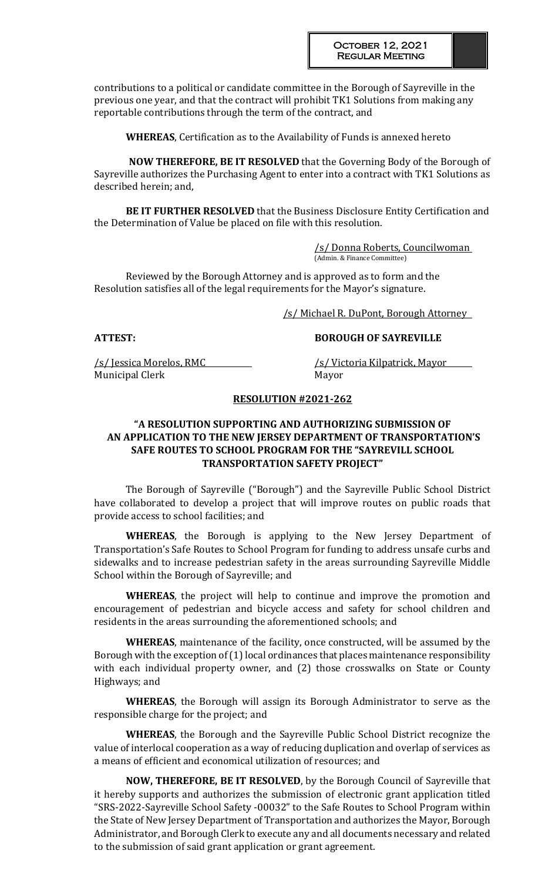contributions to a political or candidate committee in the Borough of Sayreville in the previous one year, and that the contract will prohibit TK1 Solutions from making any reportable contributions through the term of the contract, and

**WHEREAS**, Certification as to the Availability of Funds is annexed hereto

 **NOW THEREFORE, BE IT RESOLVED** that the Governing Body of the Borough of Sayreville authorizes the Purchasing Agent to enter into a contract with TK1 Solutions as described herein; and,

**BE IT FURTHER RESOLVED** that the Business Disclosure Entity Certification and the Determination of Value be placed on file with this resolution.

> /s/ Donna Roberts, Councilwoman (Admin. & Finance Committee)

Reviewed by the Borough Attorney and is approved as to form and the Resolution satisfies all of the legal requirements for the Mayor's signature.

/s/ Michael R. DuPont, Borough Attorney

/s/ Jessica Morelos, RMC /s/ Victoria Kilpatrick, Mayor Municipal Clerk Mayor

# **ATTEST: BOROUGH OF SAYREVILLE**

# **RESOLUTION #2021-262**

# **"A RESOLUTION SUPPORTING AND AUTHORIZING SUBMISSION OF AN APPLICATION TO THE NEW JERSEY DEPARTMENT OF TRANSPORTATION'S SAFE ROUTES TO SCHOOL PROGRAM FOR THE "SAYREVILL SCHOOL TRANSPORTATION SAFETY PROJECT"**

The Borough of Sayreville ("Borough") and the Sayreville Public School District have collaborated to develop a project that will improve routes on public roads that provide access to school facilities; and

**WHEREAS**, the Borough is applying to the New Jersey Department of Transportation's Safe Routes to School Program for funding to address unsafe curbs and sidewalks and to increase pedestrian safety in the areas surrounding Sayreville Middle School within the Borough of Sayreville; and

**WHEREAS**, the project will help to continue and improve the promotion and encouragement of pedestrian and bicycle access and safety for school children and residents in the areas surrounding the aforementioned schools; and

**WHEREAS**, maintenance of the facility, once constructed, will be assumed by the Borough with the exception of (1) local ordinances that places maintenance responsibility with each individual property owner, and (2) those crosswalks on State or County Highways; and

**WHEREAS**, the Borough will assign its Borough Administrator to serve as the responsible charge for the project; and

**WHEREAS**, the Borough and the Sayreville Public School District recognize the value of interlocal cooperation as a way of reducing duplication and overlap of services as a means of efficient and economical utilization of resources; and

**NOW, THEREFORE, BE IT RESOLVED**, by the Borough Council of Sayreville that it hereby supports and authorizes the submission of electronic grant application titled "SRS-2022-Sayreville School Safety -00032" to the Safe Routes to School Program within the State of New Jersey Department of Transportation and authorizes the Mayor, Borough Administrator, and Borough Clerk to execute any and all documents necessary and related to the submission of said grant application or grant agreement.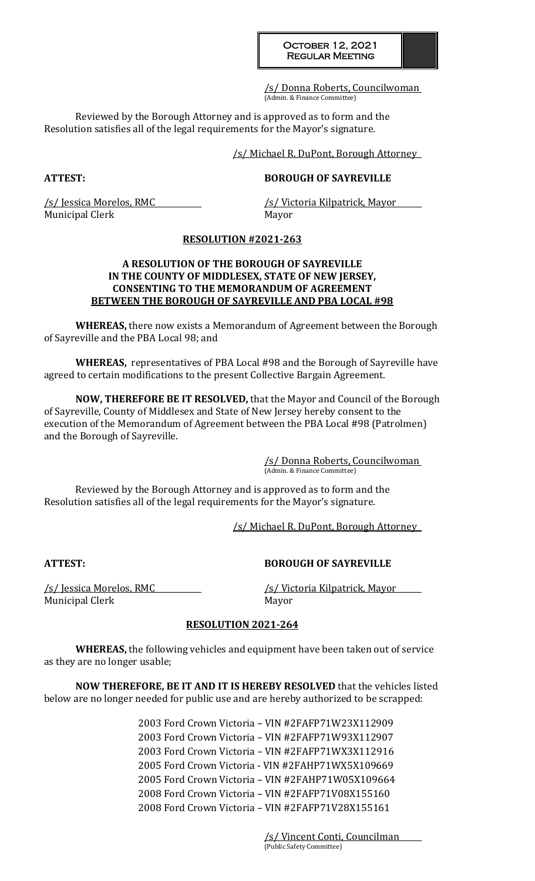/s/ Donna Roberts, Councilwoman (Admin. & Finance Committee)

Reviewed by the Borough Attorney and is approved as to form and the Resolution satisfies all of the legal requirements for the Mayor's signature.

/s/ Michael R. DuPont, Borough Attorney

### **ATTEST: BOROUGH OF SAYREVILLE**

/s/ Jessica Morelos, RMC /s/ Victoria Kilpatrick, Mayor Municipal Clerk Mayor

### **RESOLUTION #2021-263**

## **A RESOLUTION OF THE BOROUGH OF SAYREVILLE IN THE COUNTY OF MIDDLESEX, STATE OF NEW JERSEY, CONSENTING TO THE MEMORANDUM OF AGREEMENT BETWEEN THE BOROUGH OF SAYREVILLE AND PBA LOCAL #98**

**WHEREAS,** there now exists a Memorandum of Agreement between the Borough of Sayreville and the PBA Local 98; and

**WHEREAS,** representatives of PBA Local #98 and the Borough of Sayreville have agreed to certain modifications to the present Collective Bargain Agreement.

**NOW, THEREFORE BE IT RESOLVED,** that the Mayor and Council of the Borough of Sayreville, County of Middlesex and State of New Jersey hereby consent to the execution of the Memorandum of Agreement between the PBA Local #98 (Patrolmen) and the Borough of Sayreville.

> /s/ Donna Roberts, Councilwoman (Admin. & Finance Committee)

Reviewed by the Borough Attorney and is approved as to form and the Resolution satisfies all of the legal requirements for the Mayor's signature.

/s/ Michael R. DuPont, Borough Attorney

**ATTEST: BOROUGH OF SAYREVILLE**

/s/ Jessica Morelos, RMC /s/ Victoria Kilpatrick, Mayor Municipal Clerk Mayor

### **RESOLUTION 2021-264**

**WHEREAS,** the following vehicles and equipment have been taken out of service as they are no longer usable;

**NOW THEREFORE, BE IT AND IT IS HEREBY RESOLVED** that the vehicles listed below are no longer needed for public use and are hereby authorized to be scrapped:

> 2003 Ford Crown Victoria – VIN #2FAFP71W23X112909 2003 Ford Crown Victoria – VIN #2FAFP71W93X112907 2003 Ford Crown Victoria – VIN #2FAFP71WX3X112916 2005 Ford Crown Victoria - VIN #2FAHP71WX5X109669 2005 Ford Crown Victoria – VIN #2FAHP71W05X109664 2008 Ford Crown Victoria – VIN #2FAFP71V08X155160 2008 Ford Crown Victoria – VIN #2FAFP71V28X155161

> > /s/ Vincent Conti, Councilman (Public Safety Committee)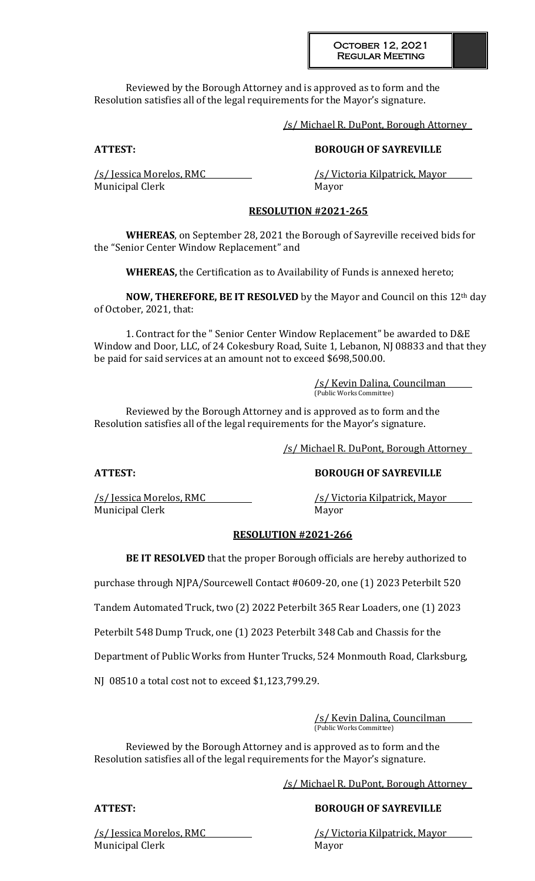# October 12, 2021 Regular Meeting

Reviewed by the Borough Attorney and is approved as to form and the Resolution satisfies all of the legal requirements for the Mayor's signature.

/s/ Michael R. DuPont, Borough Attorney

# **ATTEST: BOROUGH OF SAYREVILLE**

/s/ Jessica Morelos, RMC /s/ Victoria Kilpatrick, Mayor Municipal Clerk Mayor

# **RESOLUTION #2021-265**

**WHEREAS**, on September 28, 2021 the Borough of Sayreville received bids for the "Senior Center Window Replacement" and

**WHEREAS,** the Certification as to Availability of Funds is annexed hereto;

**NOW, THEREFORE, BE IT RESOLVED** by the Mayor and Council on this 12th day of October, 2021, that:

1. Contract for the " Senior Center Window Replacement" be awarded to D&E Window and Door, LLC, of 24 Cokesbury Road, Suite 1, Lebanon, NJ 08833 and that they be paid for said services at an amount not to exceed \$698,500.00.

> /s/ Kevin Dalina, Councilman (Public Works Committee)

Reviewed by the Borough Attorney and is approved as to form and the Resolution satisfies all of the legal requirements for the Mayor's signature.

/s/ Michael R. DuPont, Borough Attorney

# **ATTEST: BOROUGH OF SAYREVILLE**

/s/ Jessica Morelos, RMC /s/ Victoria Kilpatrick, Mayor Municipal Clerk Mayor

### **RESOLUTION #2021-266**

**BE IT RESOLVED** that the proper Borough officials are hereby authorized to

purchase through NJPA/Sourcewell Contact #0609-20, one (1) 2023 Peterbilt 520

Tandem Automated Truck, two (2) 2022 Peterbilt 365 Rear Loaders, one (1) 2023

Peterbilt 548 Dump Truck, one (1) 2023 Peterbilt 348 Cab and Chassis for the

Department of Public Works from Hunter Trucks, 524 Monmouth Road, Clarksburg,

NJ 08510 a total cost not to exceed \$1,123,799.29.

/s/ Kevin Dalina, Councilman (Public Works Committee)

Reviewed by the Borough Attorney and is approved as to form and the Resolution satisfies all of the legal requirements for the Mayor's signature.

/s/ Michael R. DuPont, Borough Attorney

# **ATTEST: BOROUGH OF SAYREVILLE**

/s/ Jessica Morelos, RMC /s/ Victoria Kilpatrick, Mayor

Municipal Clerk Mayor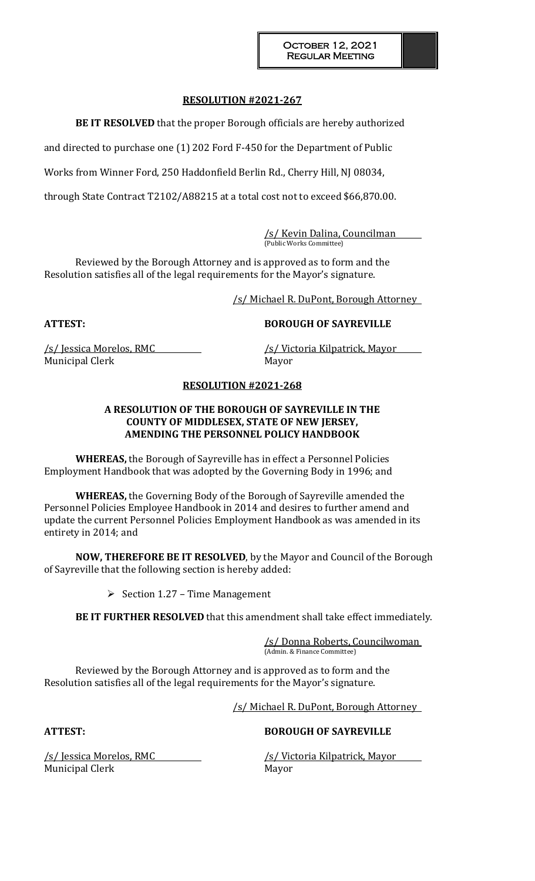**BE IT RESOLVED** that the proper Borough officials are hereby authorized

and directed to purchase one (1) 202 Ford F-450 for the Department of Public

Works from Winner Ford, 250 Haddonfield Berlin Rd., Cherry Hill, NJ 08034,

through State Contract T2102/A88215 at a total cost not to exceed \$66,870.00.

/s/ Kevin Dalina, Councilman (Public Works Committee)

Reviewed by the Borough Attorney and is approved as to form and the Resolution satisfies all of the legal requirements for the Mayor's signature.

/s/ Michael R. DuPont, Borough Attorney

**ATTEST: BOROUGH OF SAYREVILLE**

/s/ Jessica Morelos, RMC /s/ Victoria Kilpatrick, Mayor Municipal Clerk Mayor

### **RESOLUTION #2021-268**

# **A RESOLUTION OF THE BOROUGH OF SAYREVILLE IN THE COUNTY OF MIDDLESEX, STATE OF NEW JERSEY, AMENDING THE PERSONNEL POLICY HANDBOOK**

**WHEREAS,** the Borough of Sayreville has in effect a Personnel Policies Employment Handbook that was adopted by the Governing Body in 1996; and

**WHEREAS,** the Governing Body of the Borough of Sayreville amended the Personnel Policies Employee Handbook in 2014 and desires to further amend and update the current Personnel Policies Employment Handbook as was amended in its entirety in 2014; and

**NOW, THEREFORE BE IT RESOLVED**, by the Mayor and Council of the Borough of Sayreville that the following section is hereby added:

Section 1.27 – Time Management

**BE IT FURTHER RESOLVED** that this amendment shall take effect immediately.

/s/ Donna Roberts, Councilwoman (Admin. & Finance Committee)

Reviewed by the Borough Attorney and is approved as to form and the Resolution satisfies all of the legal requirements for the Mayor's signature.

/s/ Michael R. DuPont, Borough Attorney

# **ATTEST: BOROUGH OF SAYREVILLE**

Municipal Clerk Mayor

/s/ Jessica Morelos, RMC /s/ Victoria Kilpatrick, Mayor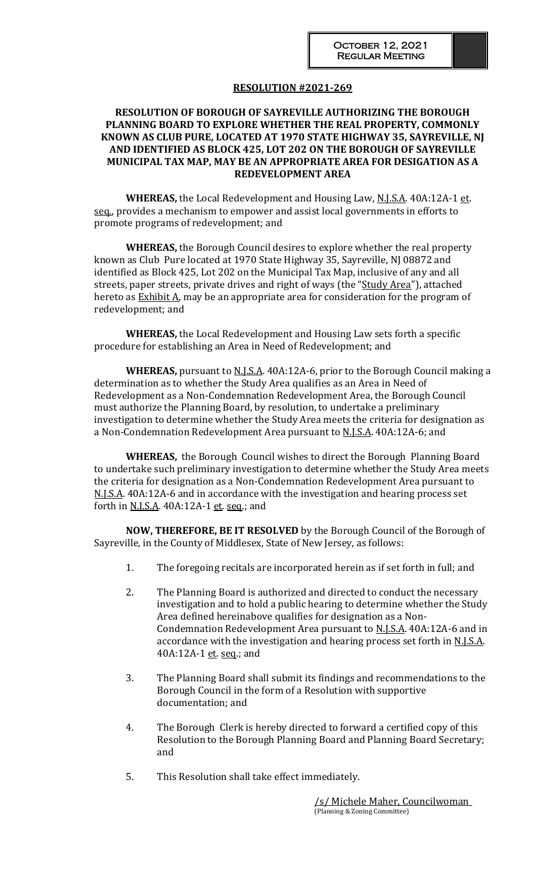# **RESOLUTION OF BOROUGH OF SAYREVILLE AUTHORIZING THE BOROUGH PLANNING BOARD TO EXPLORE WHETHER THE REAL PROPERTY, COMMONLY KNOWN AS CLUB PURE, LOCATED AT 1970 STATE HIGHWAY 35, SAYREVILLE, NJ AND IDENTIFIED AS BLOCK 425, LOT 202 ON THE BOROUGH OF SAYREVILLE MUNICIPAL TAX MAP, MAY BE AN APPROPRIATE AREA FOR DESIGATION AS A REDEVELOPMENT AREA**

**WHEREAS,** the Local Redevelopment and Housing Law, N.J.S.A. 40A:12A-1 et. seq., provides a mechanism to empower and assist local governments in efforts to promote programs of redevelopment; and

**WHEREAS,** the Borough Council desires to explore whether the real property known as Club Pure located at 1970 State Highway 35, Sayreville, NJ 08872 and identified as Block 425, Lot 202 on the Municipal Tax Map, inclusive of any and all streets, paper streets, private drives and right of ways (the "Study Area"), attached hereto as **Exhibit A**, may be an appropriate area for consideration for the program of redevelopment; and

**WHEREAS,** the Local Redevelopment and Housing Law sets forth a specific procedure for establishing an Area in Need of Redevelopment; and

WHEREAS, pursuant to **N.J.S.A.** 40A:12A-6, prior to the Borough Council making a determination as to whether the Study Area qualifies as an Area in Need of Redevelopment as a Non-Condemnation Redevelopment Area, the Borough Council must authorize the Planning Board, by resolution, to undertake a preliminary investigation to determine whether the Study Area meets the criteria for designation as a Non-Condemnation Redevelopment Area pursuant to **N.J.S.A.** 40A:12A-6; and

**WHEREAS,** the Borough Council wishes to direct the Borough Planning Board to undertake such preliminary investigation to determine whether the Study Area meets the criteria for designation as a Non-Condemnation Redevelopment Area pursuant to N.J.S.A. 40A:12A-6 and in accordance with the investigation and hearing process set forth in <u>N.J.S.A</u>. 40A:12A-1 et. seq.; and

**NOW, THEREFORE, BE IT RESOLVED** by the Borough Council of the Borough of Sayreville, in the County of Middlesex, State of New Jersey, as follows:

- 1. The foregoing recitals are incorporated herein as if set forth in full; and
- 2. The Planning Board is authorized and directed to conduct the necessary investigation and to hold a public hearing to determine whether the Study Area defined hereinabove qualifies for designation as a Non-Condemnation Redevelopment Area pursuant to N.J.S.A. 40A:12A-6 and in accordance with the investigation and hearing process set forth in N.J.S.A. 40A:12A-1 et. seq.; and
- 3. The Planning Board shall submit its findings and recommendations to the Borough Council in the form of a Resolution with supportive documentation; and
- 4. The Borough Clerk is hereby directed to forward a certified copy of this Resolution to the Borough Planning Board and Planning Board Secretary; and
- 5. This Resolution shall take effect immediately.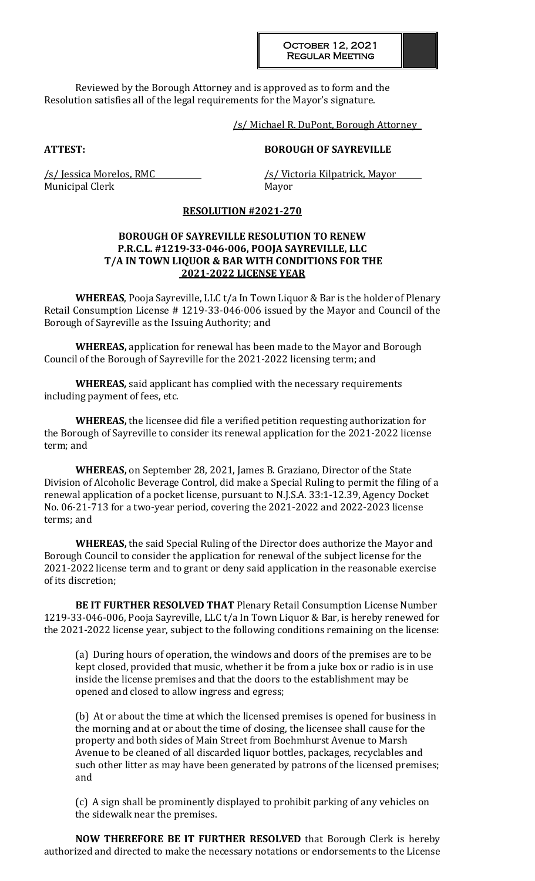October 12, 2021 Regular Meeting

Reviewed by the Borough Attorney and is approved as to form and the Resolution satisfies all of the legal requirements for the Mayor's signature.

/s/ Michael R. DuPont, Borough Attorney

### **ATTEST: BOROUGH OF SAYREVILLE**

Municipal Clerk Mayor

/s/ Jessica Morelos, RMC /s/ Victoria Kilpatrick, Mayor

#### **RESOLUTION #2021-270**

# **BOROUGH OF SAYREVILLE RESOLUTION TO RENEW P.R.C.L. #1219-33-046-006, POOJA SAYREVILLE, LLC T/A IN TOWN LIQUOR & BAR WITH CONDITIONS FOR THE 2021-2022 LICENSE YEAR**

**WHEREAS**, Pooja Sayreville, LLC t/a In Town Liquor & Bar is the holder of Plenary Retail Consumption License # 1219-33-046-006 issued by the Mayor and Council of the Borough of Sayreville as the Issuing Authority; and

**WHEREAS,** application for renewal has been made to the Mayor and Borough Council of the Borough of Sayreville for the 2021-2022 licensing term; and

**WHEREAS***,* said applicant has complied with the necessary requirements including payment of fees, etc.

**WHEREAS,** the licensee did file a verified petition requesting authorization for the Borough of Sayreville to consider its renewal application for the 2021-2022 license term; and

**WHEREAS,** on September 28, 2021, James B. Graziano, Director of the State Division of Alcoholic Beverage Control, did make a Special Ruling to permit the filing of a renewal application of a pocket license, pursuant to N.J.S.A. 33:1-12.39, Agency Docket No. 06-21-713 for a two-year period, covering the 2021-2022 and 2022-2023 license terms; and

**WHEREAS,** the said Special Ruling of the Director does authorize the Mayor and Borough Council to consider the application for renewal of the subject license for the 2021-2022 license term and to grant or deny said application in the reasonable exercise of its discretion;

**BE IT FURTHER RESOLVED THAT** Plenary Retail Consumption License Number 1219-33-046-006, Pooja Sayreville, LLC t/a In Town Liquor & Bar, is hereby renewed for the 2021-2022 license year, subject to the following conditions remaining on the license:

(a) During hours of operation, the windows and doors of the premises are to be kept closed, provided that music, whether it be from a juke box or radio is in use inside the license premises and that the doors to the establishment may be opened and closed to allow ingress and egress;

(b) At or about the time at which the licensed premises is opened for business in the morning and at or about the time of closing, the licensee shall cause for the property and both sides of Main Street from Boehmhurst Avenue to Marsh Avenue to be cleaned of all discarded liquor bottles, packages, recyclables and such other litter as may have been generated by patrons of the licensed premises; and

(c) A sign shall be prominently displayed to prohibit parking of any vehicles on the sidewalk near the premises.

**NOW THEREFORE BE IT FURTHER RESOLVED** that Borough Clerk is hereby authorized and directed to make the necessary notations or endorsements to the License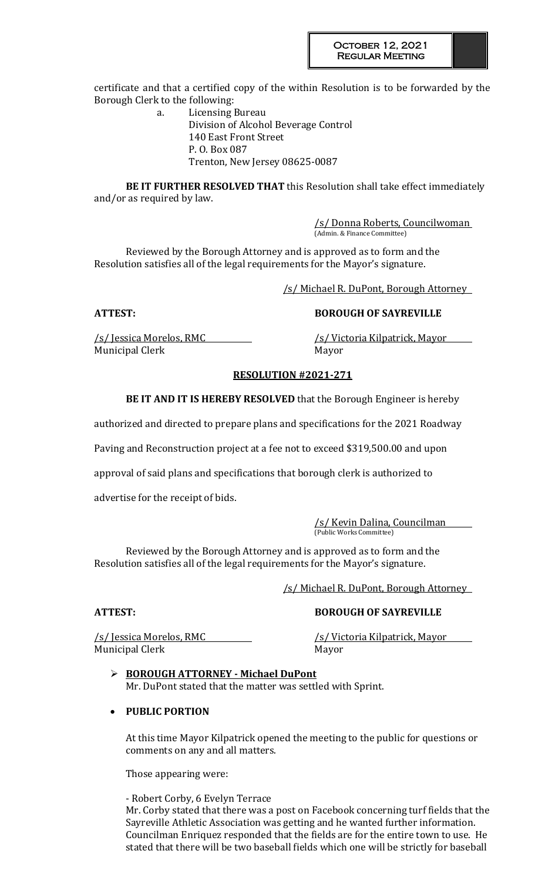certificate and that a certified copy of the within Resolution is to be forwarded by the Borough Clerk to the following:

> a. Licensing Bureau Division of Alcohol Beverage Control 140 East Front Street P. O. Box 087 Trenton, New Jersey 08625-0087

**BE IT FURTHER RESOLVED THAT** this Resolution shall take effect immediately and/or as required by law.

> /s/ Donna Roberts, Councilwoman (Admin. & Finance Committee)

Reviewed by the Borough Attorney and is approved as to form and the Resolution satisfies all of the legal requirements for the Mayor's signature.

/s/ Michael R. DuPont, Borough Attorney

# **ATTEST: BOROUGH OF SAYREVILLE**

/s/ Jessica Morelos, RMC /s/ Victoria Kilpatrick, Mayor Municipal Clerk Mayor

# **RESOLUTION #2021-271**

**BE IT AND IT IS HEREBY RESOLVED** that the Borough Engineer is hereby

authorized and directed to prepare plans and specifications for the 2021 Roadway

Paving and Reconstruction project at a fee not to exceed \$319,500.00 and upon

approval of said plans and specifications that borough clerk is authorized to

advertise for the receipt of bids.

/s/ Kevin Dalina, Councilman (Public Works Committee)

Reviewed by the Borough Attorney and is approved as to form and the Resolution satisfies all of the legal requirements for the Mayor's signature.

/s/ Michael R. DuPont, Borough Attorney

/s/ Jessica Morelos, RMC /s/ Victoria Kilpatrick, Mayor Municipal Clerk and the Mayor

# **ATTEST: BOROUGH OF SAYREVILLE**

 **BOROUGH ATTORNEY - Michael DuPont** Mr. DuPont stated that the matter was settled with Sprint.

# **PUBLIC PORTION**

At this time Mayor Kilpatrick opened the meeting to the public for questions or comments on any and all matters.

Those appearing were:

- Robert Corby, 6 Evelyn Terrace Mr. Corby stated that there was a post on Facebook concerning turf fields that the Sayreville Athletic Association was getting and he wanted further information. Councilman Enriquez responded that the fields are for the entire town to use. He stated that there will be two baseball fields which one will be strictly for baseball